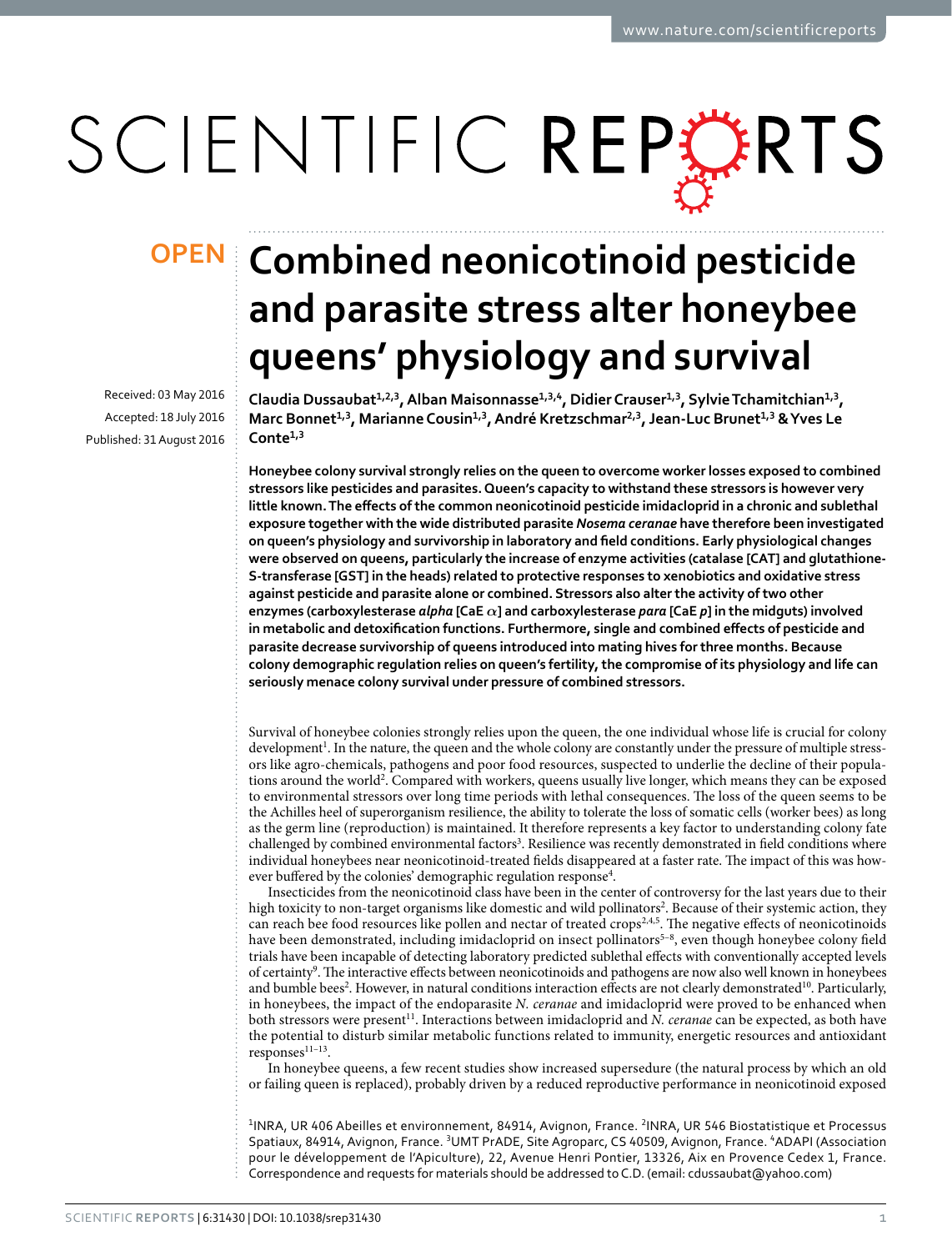# SCIENTIFIC REPERTS

Received: 03 May 2016 accepted: 18 July 2016 Published: 31 August 2016

## **Combined neonicotinoid pesticide OPENand parasite stress alter honeybee queens' physiology and survival**

Claudia Dussaubat<sup>1,2,3</sup>, Alban Maisonnasse<sup>1,3,4</sup>, Didier Crauser<sup>1,3</sup>, Sylvie Tchamitchian<sup>1,3</sup>, Marc Bonnet<sup>1,3</sup>, Marianne Cousin<sup>1,3</sup>, André Kretzschmar<sup>2,3</sup>, Jean-Luc Brunet<sup>1,3</sup> & Yves Le **Conte<sup>1</sup>,<sup>3</sup>**

**Honeybee colony survival strongly relies on the queen to overcome worker losses exposed to combined stressors like pesticides and parasites. Queen's capacity to withstand these stressors is however very little known. The effects of the common neonicotinoid pesticide imidacloprid in a chronic and sublethal exposure together with the wide distributed parasite** *Nosema ceranae* **have therefore been investigated on queen's physiology and survivorship in laboratory and field conditions. Early physiological changes were observed on queens, particularly the increase of enzyme activities (catalase [CAT] and glutathione-S-transferase [GST] in the heads) related to protective responses to xenobiotics and oxidative stress against pesticide and parasite alone or combined. Stressors also alter the activity of two other enzymes (carboxylesterase** *alpha* **[CaE** *α***] and carboxylesterase** *para* **[CaE** *p***] in the midguts) involved in metabolic and detoxification functions. Furthermore, single and combined effects of pesticide and parasite decrease survivorship of queens introduced into mating hives for three months. Because colony demographic regulation relies on queen's fertility, the compromise of its physiology and life can seriously menace colony survival under pressure of combined stressors.**

Survival of honeybee colonies strongly relies upon the queen, the one individual whose life is crucial for colony development<sup>1</sup>. In the nature, the queen and the whole colony are constantly under the pressure of multiple stressors like agro-chemicals, pathogens and poor food resources, suspected to underlie the decline of their populations around the world<sup>2</sup>. Compared with workers, queens usually live longer, which means they can be exposed to environmental stressors over long time periods with lethal consequences. The loss of the queen seems to be the Achilles heel of superorganism resilience, the ability to tolerate the loss of somatic cells (worker bees) as long as the germ line (reproduction) is maintained. It therefore represents a key factor to understanding colony fate challenged by combined environmental factors<sup>3</sup>. Resilience was recently demonstrated in field conditions where individual honeybees near neonicotinoid-treated fields disappeared at a faster rate. The impact of this was how-ever buffered by the colonies' demographic regulation response<sup>[4](#page-5-3)</sup>.

Insecticides from the neonicotinoid class have been in the center of controversy for the last years due to their high toxicity to non-target organisms like domestic and wild pollinators<sup>2</sup>. Because of their systemic action, they can reach bee food resources like pollen and nectar of treated crops<sup>[2](#page-5-1),[4,](#page-5-3)5</sup>. The negative effects of neonicotinoids have been demonstrated, including imidacloprid on insect pollinators<sup>5-8</sup>, even though honeybee colony field trials have been incapable of detecting laboratory predicted sublethal effects with conventionally accepted levels of certainty<sup>[9](#page-5-5)</sup>. The interactive effects between neonicotinoids and pathogens are now also well known in honeybees and bumble bees<sup>[2](#page-5-1)</sup>. However, in natural conditions interaction effects are not clearly demonstrated<sup>[10](#page-5-6)</sup>. Particularly, in honeybees, the impact of the endoparasite *N. ceranae* and imidacloprid were proved to be enhanced when both stressors were present<sup>11</sup>. Interactions between imidacloprid and *N. ceranae* can be expected, as both have the potential to disturb similar metabolic functions related to immunity, energetic resources and antioxidant responses<sup>11-13</sup>.

In honeybee queens, a few recent studies show increased supersedure (the natural process by which an old or failing queen is replaced), probably driven by a reduced reproductive performance in neonicotinoid exposed

<sup>1</sup>INRA, UR 406 Abeilles et environnement, 84914, Avignon, France. <sup>2</sup>INRA, UR 546 Biostatistique et Processus Spatiaux, 84914, Avignon, France. <sup>3</sup>UMT PrADE, Site Agroparc, CS 40509, Avignon, France. <sup>4</sup>ADAPI (Association pour le développement de l'Apiculture), 22, Avenue Henri Pontier, 13326, Aix en Provence Cedex 1, France. Correspondence and requests for materials should be addressed to C.D. (email: [cdussaubat@yahoo.com](mailto:cdussaubat@yahoo.com))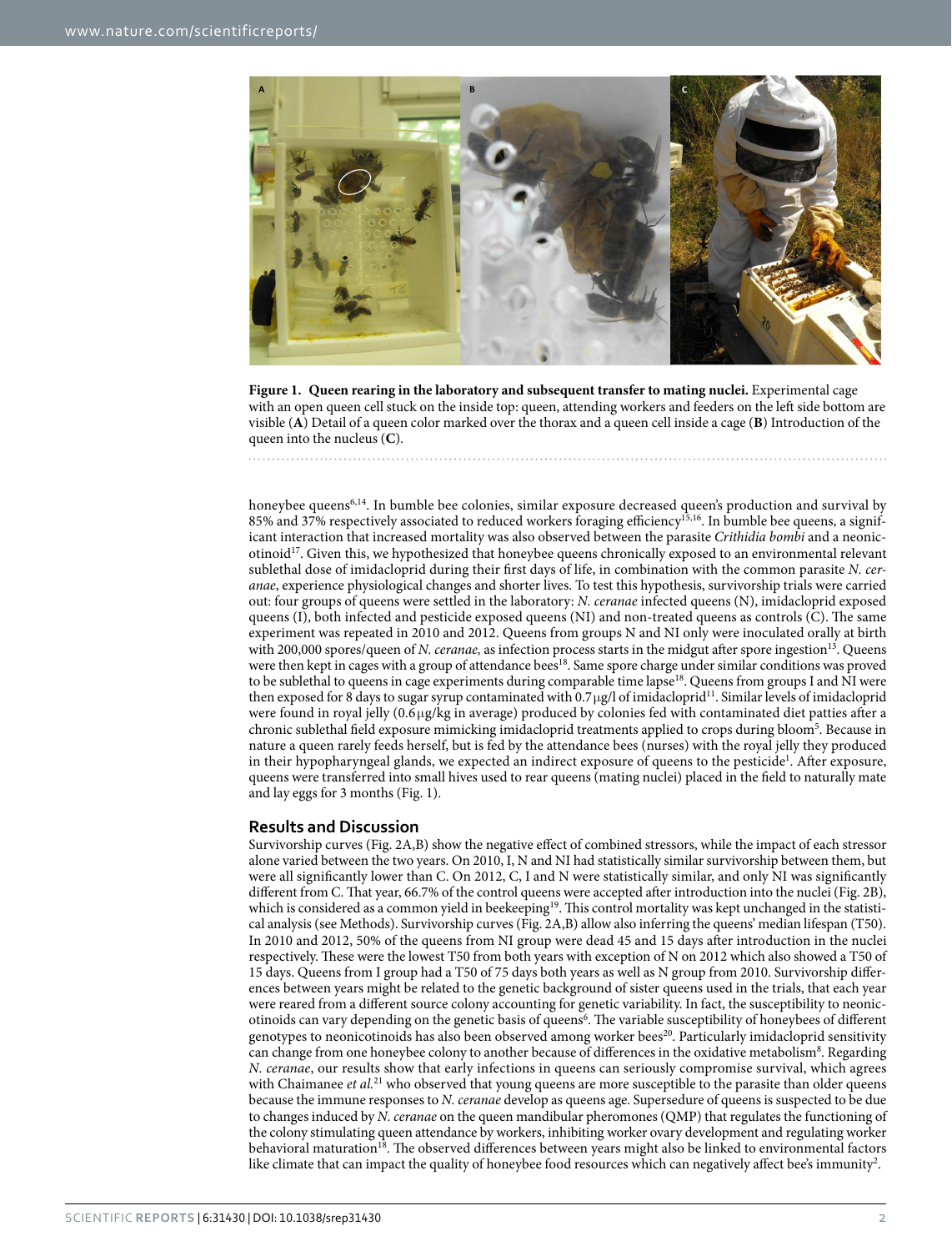

Figure 1. Queen rearing in the laboratory and subsequent transfer to mating nuclei. Experimental cage with an open queen cell stuck on the inside top: queen, attending workers and feeders on the left side bottom are visible (**A**) Detail of a queen color marked over the thorax and a queen cell inside a cage (**B**) Introduction of the queen into the nucleus (**C**).

<span id="page-1-0"></span>

honeybee queens<sup>6[,14](#page-6-0)</sup>. In bumble bee colonies, similar exposure decreased queen's production and survival by 85% and 37% respectively associated to reduced workers foraging efficiency<sup>15,16</sup>. In bumble bee queens, a significant interaction that increased mortality was also observed between the parasite *Crithidia bombi* and a neonicotinoi[d17.](#page-6-3) Given this, we hypothesized that honeybee queens chronically exposed to an environmental relevant sublethal dose of imidacloprid during their first days of life, in combination with the common parasite *N. ceranae*, experience physiological changes and shorter lives. To test this hypothesis, survivorship trials were carried out: four groups of queens were settled in the laboratory: *N. ceranae* infected queens (N), imidacloprid exposed queens (I), both infected and pesticide exposed queens (NI) and non-treated queens as controls (C). The same experiment was repeated in 2010 and 2012. Queens from groups N and NI only were inoculated orally at birth with 200,000 spores/queen of *N. ceranae*, as infection process starts in the midgut after spore ingestion<sup>[13](#page-6-4)</sup>. Queens were then kept in cages with a group of attendance bee[s18](#page-6-5). Same spore charge under similar conditions was proved to be sublethal to queens in cage experiments during comparable time lapse<sup>18</sup>. Queens from groups I and NI were then exposed for 8 days to sugar syrup contaminated with 0.7μg/l of imidacloprid<sup>11</sup>. Similar levels of imidacloprid were found in royal jelly (0.6 μg/kg in average) produced by colonies fed with contaminated diet patties after a chronic sublethal field exposure mimicking imidacloprid treatments applied to crops during bloom<sup>[5](#page-5-4)</sup>. Because in nature a queen rarely feeds herself, but is fed by the attendance bees (nurses) with the royal jelly they produced in their hypopharyngeal glands, we expected an indirect exposure of queens to the pesticide<sup>1</sup>. After exposure, queens were transferred into small hives used to rear queens (mating nuclei) placed in the field to naturally mate and lay eggs for 3 months [\(Fig. 1\)](#page-1-0).

### **Results and Discussion**

Survivorship curves ([Fig. 2A,B](#page-2-0)) show the negative effect of combined stressors, while the impact of each stressor alone varied between the two years. On 2010, I, N and NI had statistically similar survivorship between them, but were all significantly lower than C. On 2012, C, I and N were statistically similar, and only NI was significantly different from C. That year, 66.7% of the control queens were accepted after introduction into the nuclei ([Fig. 2B](#page-2-0)), which is considered as a common yield in beekeeping<sup>19</sup>. This control mortality was kept unchanged in the statistical analysis (see Methods). Survivorship curves [\(Fig. 2A,B\)](#page-2-0) allow also inferring the queens' median lifespan (T50). In 2010 and 2012, 50% of the queens from NI group were dead 45 and 15 days after introduction in the nuclei respectively. These were the lowest T50 from both years with exception of N on 2012 which also showed a T50 of 15 days. Queens from I group had a T50 of 75 days both years as well as N group from 2010. Survivorship differences between years might be related to the genetic background of sister queens used in the trials, that each year were reared from a different source colony accounting for genetic variability. In fact, the susceptibility to neonic-otinoids can vary depending on the genetic basis of queens<sup>[6](#page-5-8)</sup>. The variable susceptibility of honeybees of different genotypes to neonicotinoids has also been observed among worker bees<sup>20</sup>. Particularly imidacloprid sensitivity can change from one honeybee colony to another because of differences in the oxidative metabolism<sup>8</sup>. Regarding *N. ceranae*, our results show that early infections in queens can seriously compromise survival, which agrees with Chaimanee *et al.*<sup>21</sup> who observed that young queens are more susceptible to the parasite than older queens because the immune responses to *N. ceranae* develop as queens age. Supersedure of queens is suspected to be due to changes induced by *N. ceranae* on the queen mandibular pheromones (QMP) that regulates the functioning of the colony stimulating queen attendance by workers, inhibiting worker ovary development and regulating worker behavioral maturation<sup>18</sup>. The observed differences between years might also be linked to environmental factors like climate that can impact the quality of honeybee food resources which can negatively affect bee's immunity<sup>2</sup>.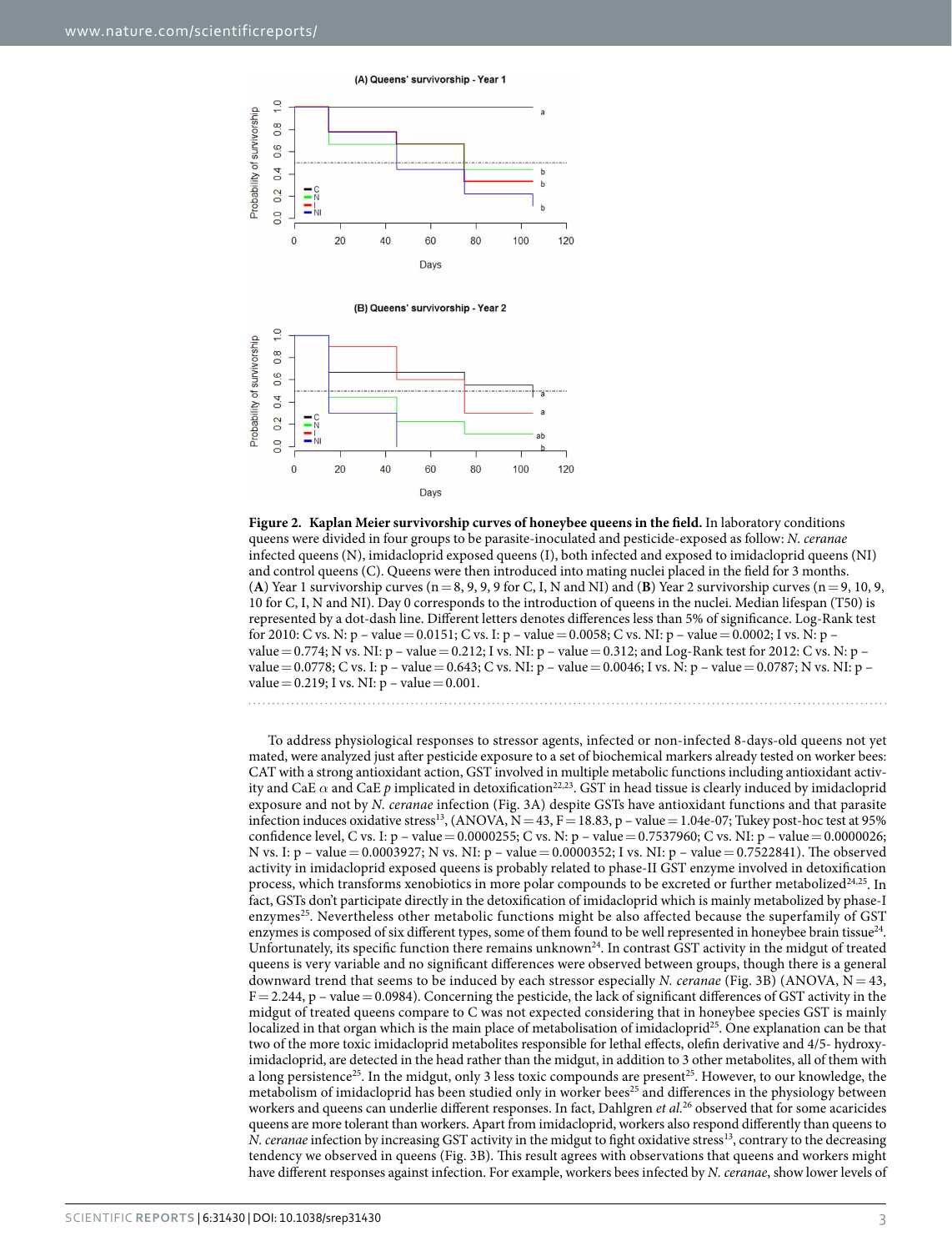(A) Queens' survivorship - Year 1



(B) Queens' survivorship - Year 2



<span id="page-2-0"></span>**Figure 2. Kaplan Meier survivorship curves of honeybee queens in the field.** In laboratory conditions queens were divided in four groups to be parasite-inoculated and pesticide-exposed as follow: *N. ceranae* infected queens (N), imidacloprid exposed queens (I), both infected and exposed to imidacloprid queens (NI) and control queens (C). Queens were then introduced into mating nuclei placed in the field for 3 months. (A) Year 1 survivorship curves ( $n=8, 9, 9, 9$  for C, I, N and NI) and (**B**) Year 2 survivorship curves ( $n=9, 10, 9,$ 10 for C, I, N and NI). Day 0 corresponds to the introduction of queens in the nuclei. Median lifespan (T50) is represented by a dot-dash line. Different letters denotes differences less than 5% of significance. Log-Rank test for 2010: C vs. N: p – value=0.0151; C vs. I: p – value=0.0058; C vs. NI: p – value=0.0002; I vs. N: p – value = 0.774; N vs. NI: p – value = 0.212; I vs. NI: p – value = 0.312; and Log-Rank test for 2012: C vs. N: p – value = 0.0778; C vs. I: p – value = 0.643; C vs. NI: p – value = 0.0046; I vs. N: p – value = 0.0787; N vs. NI: p – value =  $0.219$ ; I vs. NI:  $p - value = 0.001$ .

To address physiological responses to stressor agents, infected or non-infected 8-days-old queens not yet mated, were analyzed just after pesticide exposure to a set of biochemical markers already tested on worker bees: CAT with a strong antioxidant action, GST involved in multiple metabolic functions including antioxidant activity and CaE  $\alpha$  and CaE  $p$  implicated in detoxification<sup>22,23</sup>. GST in head tissue is clearly induced by imidacloprid exposure and not by *N. ceranae* infection ([Fig. 3A](#page-3-0)) despite GSTs have antioxidant functions and that parasite infection induces oxidative stress<sup>[13](#page-6-4)</sup>, (ANOVA,  $N = 43$ ,  $F = 18.83$ , p – value = 1.04e-07; Tukey post-hoc test at 95% confidence level, C vs. I: p – value = 0.0000255; C vs. N: p – value = 0.7537960; C vs. NI: p – value = 0.0000026; N vs. I: p – value= 0.0003927; N vs. NI: p – value= 0.0000352; I vs. NI: p – value= 0.7522841). The observed activity in imidacloprid exposed queens is probably related to phase-II GST enzyme involved in detoxification process, which transforms xenobiotics in more polar compounds to be excreted or further metabolized $24,25$  $24,25$ . In fact, GSTs don't participate directly in the detoxification of imidacloprid which is mainly metabolized by phase-I enzymes<sup>25</sup>. Nevertheless other metabolic functions might be also affected because the superfamily of GST enzymes is composed of six different types, some of them found to be well represented in honeybee brain tissue<sup>24</sup>. Unfortunately, its specific function there remains unknown<sup>24</sup>. In contrast GST activity in the midgut of treated queens is very variable and no significant differences were observed between groups, though there is a general downward trend that seems to be induced by each stressor especially *N. ceranae* ([Fig. 3B\)](#page-3-0) (ANOVA, N= 43,  $F = 2.244$ , p – value  $= 0.0984$ ). Concerning the pesticide, the lack of significant differences of GST activity in the midgut of treated queens compare to C was not expected considering that in honeybee species GST is mainly localized in that organ which is the main place of metabolisation of imidacloprid<sup>25</sup>. One explanation can be that two of the more toxic imidacloprid metabolites responsible for lethal effects, olefin derivative and 4/5- hydroxyimidacloprid, are detected in the head rather than the midgut, in addition to 3 other metabolites, all of them with a long persistence<sup>25</sup>. In the midgut, only 3 less toxic compounds are present<sup>25</sup>. However, to our knowledge, the metabolism of imidacloprid has been studied only in worker bees<sup>25</sup> and differences in the physiology between workers and queens can underlie different responses. In fact, Dahlgren *et al.*[26](#page-6-13) observed that for some acaricides queens are more tolerant than workers. Apart from imidacloprid, workers also respond differently than queens to *N. ceranae* infection by increasing GST activity in the midgut to fight oxidative stress<sup>13</sup>, contrary to the decreasing tendency we observed in queens [\(Fig. 3B\)](#page-3-0). This result agrees with observations that queens and workers might have different responses against infection. For example, workers bees infected by *N. ceranae*, show lower levels of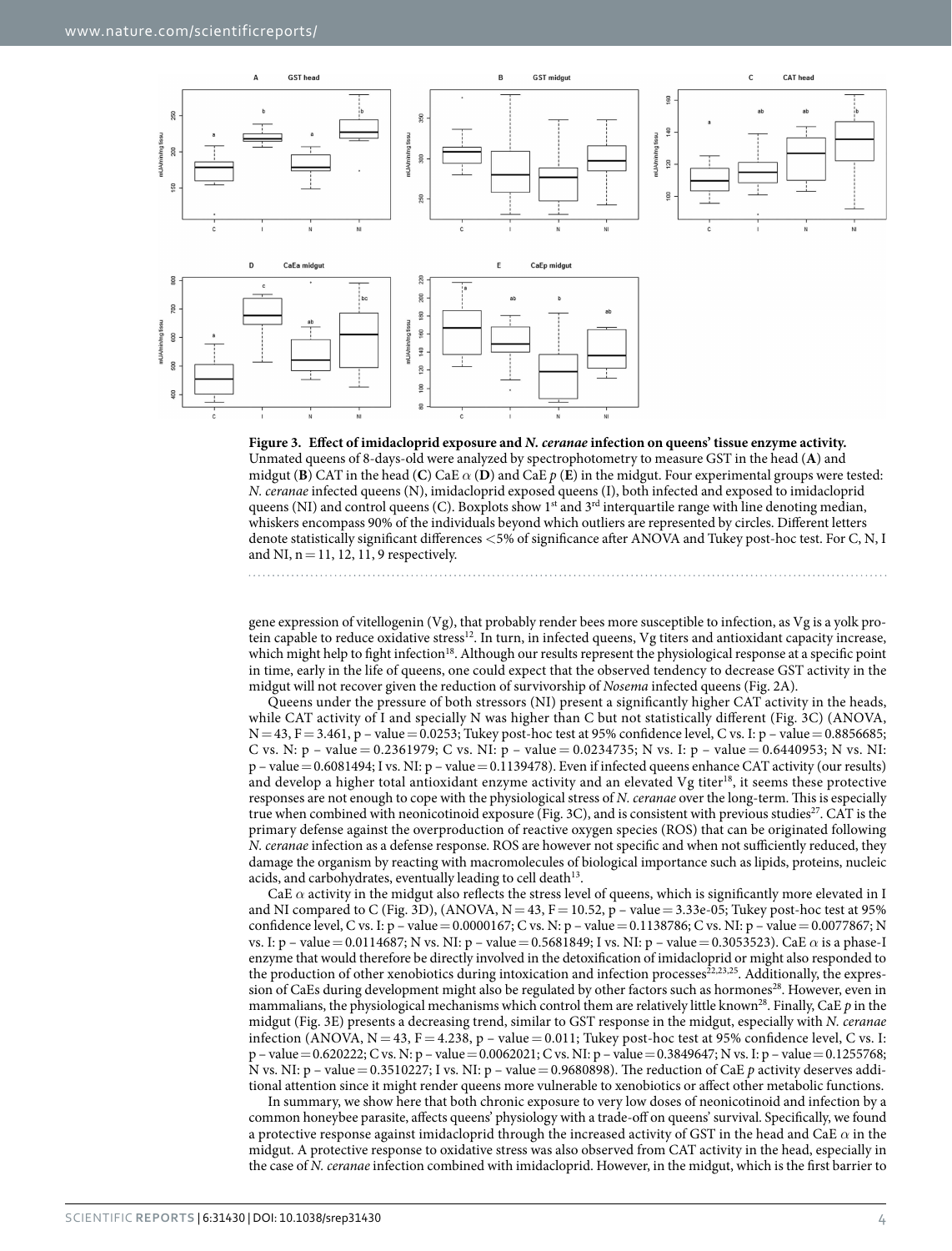

<span id="page-3-0"></span>

gene expression of vitellogenin (Vg), that probably render bees more susceptible to infection, as Vg is a yolk protein capable to reduce oxidative stress[12](#page-6-14). In turn, in infected queens, Vg titers and antioxidant capacity increase, which might help to fight infection<sup>[18](#page-6-5)</sup>. Although our results represent the physiological response at a specific point in time, early in the life of queens, one could expect that the observed tendency to decrease GST activity in the midgut will not recover given the reduction of survivorship of *Nosema* infected queens ([Fig. 2A](#page-2-0)).

Queens under the pressure of both stressors (NI) present a significantly higher CAT activity in the heads, while CAT activity of I and specially N was higher than C but not statistically different ([Fig. 3C](#page-3-0)) (ANOVA,  $N=43$ ,  $F=3.461$ , p – value = 0.0253; Tukey post-hoc test at 95% confidence level, C vs. I: p – value = 0.8856685; C vs. N: p – value = 0.2361979; C vs. NI: p – value = 0.0234735; N vs. I: p – value = 0.6440953; N vs. NI:  $p$  – value = 0.6081494; I vs. NI:  $p$  – value = 0.1139478). Even if infected queens enhance CAT activity (our results) and develop a higher total antioxidant enzyme activity and an elevated Vg titer[18](#page-6-5), it seems these protective responses are not enough to cope with the physiological stress of *N. ceranae* over the long-term. This is especially true when combined with neonicotinoid exposure [\(Fig. 3C\)](#page-3-0), and is consistent with previous studies<sup>27</sup>. CAT is the primary defense against the overproduction of reactive oxygen species (ROS) that can be originated following *N. ceranae* infection as a defense response. ROS are however not specific and when not sufficiently reduced, they damage the organism by reacting with macromolecules of biological importance such as lipids, proteins, nucleic acids, and carbohydrates, eventually leading to cell death $^{13}$ .

CaE  $\alpha$  activity in the midgut also reflects the stress level of queens, which is significantly more elevated in I and NI compared to C ([Fig. 3D](#page-3-0)), (ANOVA,  $N = 43$ ,  $F = 10.52$ , p – value = 3.33e-05; Tukey post-hoc test at 95% confidence level, C vs. I: p – value=0.0000167; C vs. N: p – value=0.1138786; C vs. NI: p – value=0.0077867; N vs. I: p – value= 0.0114687; N vs. NI: p – value= 0.5681849; I vs. NI: p – value= 0.3053523). CaE *α* is a phase-I enzyme that would therefore be directly involved in the detoxification of imidacloprid or might also responded to the production of other xenobiotics during intoxication and infection processes<sup>22,[23,](#page-6-10)25</sup>. Additionally, the expression of CaEs during development might also be regulated by other factors such as hormones<sup>28</sup>. However, even in mammalians, the physiological mechanisms which control them are relatively little know[n28](#page-6-16). Finally, CaE *p* in the midgut [\(Fig. 3E](#page-3-0)) presents a decreasing trend, similar to GST response in the midgut, especially with *N. ceranae* infection (ANOVA,  $N = 43$ ,  $F = 4.238$ ,  $p - value = 0.011$ ; Tukey post-hoc test at 95% confidence level, C vs. I: p – value= 0.620222; C vs. N: p – value= 0.0062021; C vs. NI: p – value= 0.3849647; N vs. I: p – value= 0.1255768; N vs. NI: p – value= 0.3510227; I vs. NI: p – value= 0.9680898). The reduction of CaE *p* activity deserves additional attention since it might render queens more vulnerable to xenobiotics or affect other metabolic functions.

In summary, we show here that both chronic exposure to very low doses of neonicotinoid and infection by a common honeybee parasite, affects queens' physiology with a trade-off on queens' survival. Specifically, we found a protective response against imidacloprid through the increased activity of GST in the head and CaE *α* in the midgut. A protective response to oxidative stress was also observed from CAT activity in the head, especially in the case of *N. ceranae* infection combined with imidacloprid. However, in the midgut, which is the first barrier to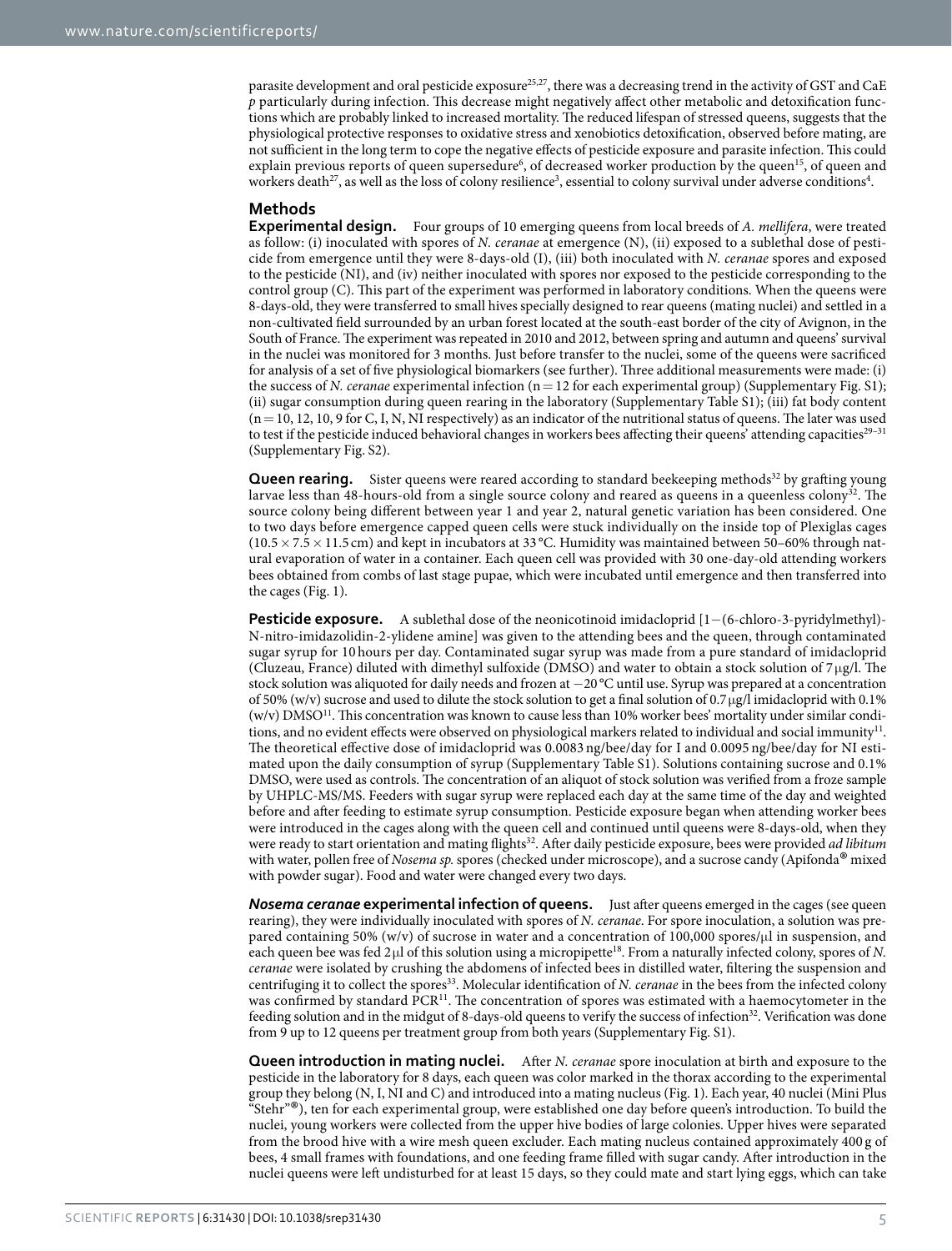parasite development and oral pesticide exposure<sup>25,[27](#page-6-15)</sup>, there was a decreasing trend in the activity of GST and CaE *p* particularly during infection. This decrease might negatively affect other metabolic and detoxification functions which are probably linked to increased mortality. The reduced lifespan of stressed queens, suggests that the physiological protective responses to oxidative stress and xenobiotics detoxification, observed before mating, are not sufficient in the long term to cope the negative effects of pesticide exposure and parasite infection. This could explain previous reports of queen supersedure<sup>[6](#page-5-8)</sup>, of decreased worker production by the queen<sup>15</sup>, of queen and workers death<sup>27</sup>, as well as the loss of colony resilience<sup>3</sup>, essential to colony survival under adverse conditions<sup>4</sup>.

#### **Methods**

**Experimental design.** Four groups of 10 emerging queens from local breeds of *A. mellifera*, were treated as follow: (i) inoculated with spores of *N. ceranae* at emergence (N), (ii) exposed to a sublethal dose of pesticide from emergence until they were 8-days-old (I), (iii) both inoculated with *N. ceranae* spores and exposed to the pesticide (NI), and (iv) neither inoculated with spores nor exposed to the pesticide corresponding to the control group (C). This part of the experiment was performed in laboratory conditions. When the queens were 8-days-old, they were transferred to small hives specially designed to rear queens (mating nuclei) and settled in a non-cultivated field surrounded by an urban forest located at the south-east border of the city of Avignon, in the South of France. The experiment was repeated in 2010 and 2012, between spring and autumn and queens' survival in the nuclei was monitored for 3 months. Just before transfer to the nuclei, some of the queens were sacrificed for analysis of a set of five physiological biomarkers (see further). Three additional measurements were made: (i) the success of *N. ceranae* experimental infection (n= 12 for each experimental group) (Supplementary Fig. S1); (ii) sugar consumption during queen rearing in the laboratory (Supplementary Table S1); (iii) fat body content  $(n=10, 12, 10, 9$  for C, I, N, NI respectively) as an indicator of the nutritional status of queens. The later was used to test if the pesticide induced behavioral changes in workers bees affecting their queens' attending capacities<sup>29–31</sup> (Supplementary Fig. S2).

**Queen rearing.** Sister queens were reared according to standard beekeeping methods<sup>[32](#page-6-18)</sup> by grafting young larvae less than 48-hours-old from a single source colony and reared as queens in a queenless colony<sup>32</sup>. The source colony being different between year 1 and year 2, natural genetic variation has been considered. One to two days before emergence capped queen cells were stuck individually on the inside top of Plexiglas cages  $(10.5 \times 7.5 \times 11.5 \text{ cm})$  and kept in incubators at 33 °C. Humidity was maintained between 50–60% through natural evaporation of water in a container. Each queen cell was provided with 30 one-day-old attending workers bees obtained from combs of last stage pupae, which were incubated until emergence and then transferred into the cages ([Fig. 1](#page-1-0)).

**Pesticide exposure.** A sublethal dose of the neonicotinoid imidacloprid [1−(6-chloro-3-pyridylmethyl)- N-nitro-imidazolidin-2-ylidene amine] was given to the attending bees and the queen, through contaminated sugar syrup for 10 hours per day. Contaminated sugar syrup was made from a pure standard of imidacloprid (Cluzeau, France) diluted with dimethyl sulfoxide (DMSO) and water to obtain a stock solution of 7 μg/l. The stock solution was aliquoted for daily needs and frozen at −20°C until use. Syrup was prepared at a concentration of 50% (w/v) sucrose and used to dilute the stock solution to get a final solution of  $0.7 \mu g/l$  imidacloprid with 0.1% (w/v) DMS[O11.](#page-5-7) This concentration was known to cause less than 10% worker bees' mortality under similar conditions, and no evident effects were observed on physiological markers related to individual and social immunity<sup>11</sup>. The theoretical effective dose of imidacloprid was 0.0083 ng/bee/day for I and 0.0095 ng/bee/day for NI estimated upon the daily consumption of syrup (Supplementary Table S1). Solutions containing sucrose and 0.1% DMSO, were used as controls. The concentration of an aliquot of stock solution was verified from a froze sample by UHPLC-MS/MS. Feeders with sugar syrup were replaced each day at the same time of the day and weighted before and after feeding to estimate syrup consumption. Pesticide exposure began when attending worker bees were introduced in the cages along with the queen cell and continued until queens were 8-days-old, when they were ready to start orientation and mating flight[s32.](#page-6-18) After daily pesticide exposure, bees were provided *ad libitum* with water, pollen free of *Nosema sp.* spores (checked under microscope), and a sucrose candy (Apifonda® mixed with powder sugar). Food and water were changed every two days.

*Nosema ceranae* **experimental infection of queens.** Just after queens emerged in the cages (see queen rearing), they were individually inoculated with spores of *N. ceranae*. For spore inoculation, a solution was prepared containing 50% (w/v) of sucrose in water and a concentration of 100,000 spores/μl in suspension, and each queen bee was fed 2μl of this solution using a micropipette<sup>18</sup>. From a naturally infected colony, spores of *N*. *ceranae* were isolated by crushing the abdomens of infected bees in distilled water, filtering the suspension and centrifuging it to collect the spores[33](#page-6-19). Molecular identification of *N. ceranae* in the bees from the infected colony was confirmed by standard PCR<sup>[11](#page-5-7)</sup>. The concentration of spores was estimated with a haemocytometer in the feeding solution and in the midgut of 8-days-old queens to verify the success of infection<sup>[32](#page-6-18)</sup>. Verification was done from 9 up to 12 queens per treatment group from both years (Supplementary Fig. S1).

**Queen introduction in mating nuclei.** After *N. ceranae* spore inoculation at birth and exposure to the pesticide in the laboratory for 8 days, each queen was color marked in the thorax according to the experimental group they belong (N, I, NI and C) and introduced into a mating nucleus [\(Fig. 1\)](#page-1-0). Each year, 40 nuclei (Mini Plus "Stehr"®), ten for each experimental group, were established one day before queen's introduction. To build the nuclei, young workers were collected from the upper hive bodies of large colonies. Upper hives were separated from the brood hive with a wire mesh queen excluder. Each mating nucleus contained approximately 400 g of bees, 4 small frames with foundations, and one feeding frame filled with sugar candy. After introduction in the nuclei queens were left undisturbed for at least 15 days, so they could mate and start lying eggs, which can take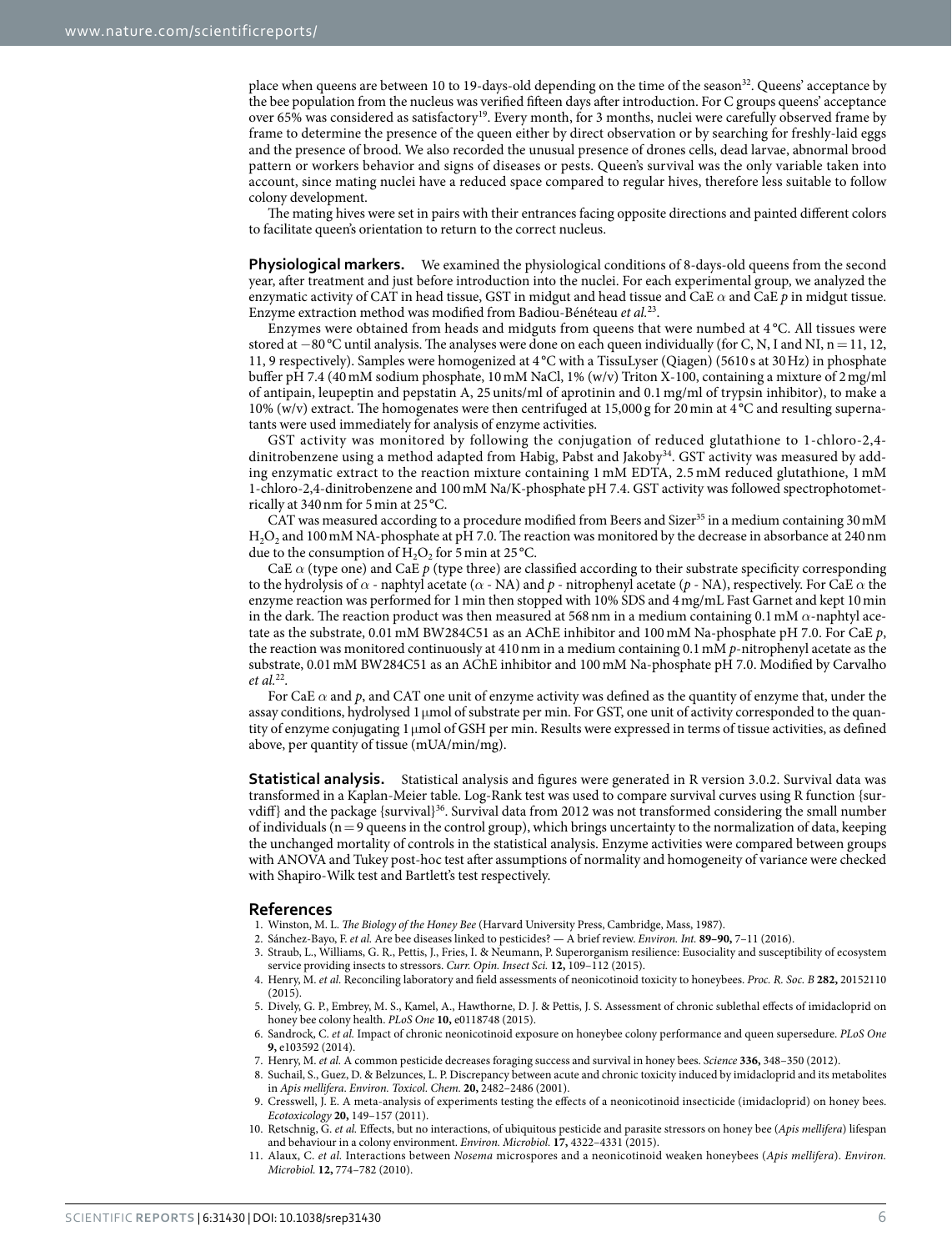place when queens are between 10 to 19-days-old depending on the time of the season<sup>32</sup>. Queens' acceptance by the bee population from the nucleus was verified fifteen days after introduction. For C groups queens' acceptance over 65% was considered as satisfactory<sup>19</sup>. Every month, for 3 months, nuclei were carefully observed frame by frame to determine the presence of the queen either by direct observation or by searching for freshly-laid eggs and the presence of brood. We also recorded the unusual presence of drones cells, dead larvae, abnormal brood pattern or workers behavior and signs of diseases or pests. Queen's survival was the only variable taken into account, since mating nuclei have a reduced space compared to regular hives, therefore less suitable to follow colony development.

The mating hives were set in pairs with their entrances facing opposite directions and painted different colors to facilitate queen's orientation to return to the correct nucleus.

**Physiological markers.** We examined the physiological conditions of 8-days-old queens from the second year, after treatment and just before introduction into the nuclei. For each experimental group, we analyzed the enzymatic activity of CAT in head tissue, GST in midgut and head tissue and CaE *α* and CaE *p* in midgut tissue. Enzyme extraction method was modified from Badiou-Bénéteau *et al.*[23.](#page-6-10)

Enzymes were obtained from heads and midguts from queens that were numbed at 4 °C. All tissues were stored at −80 °C until analysis. The analyses were done on each queen individually (for C, N, I and NI, n = 11, 12, 11, 9 respectively). Samples were homogenized at 4 °C with a TissuLyser (Qiagen) (5610 s at 30Hz) in phosphate buffer pH 7.4 (40mM sodium phosphate, 10mM NaCl, 1% (w/v) Triton X-100, containing a mixture of 2mg/ml of antipain, leupeptin and pepstatin A, 25 units/ml of aprotinin and 0.1 mg/ml of trypsin inhibitor), to make a 10% (w/v) extract. The homogenates were then centrifuged at 15,000 g for 20min at 4 °C and resulting supernatants were used immediately for analysis of enzyme activities.

GST activity was monitored by following the conjugation of reduced glutathione to 1-chloro-2,4- dinitrobenzene using a method adapted from Habig, Pabst and Jakoby<sup>[34](#page-6-20)</sup>. GST activity was measured by adding enzymatic extract to the reaction mixture containing 1 mM EDTA, 2.5 mM reduced glutathione, 1 mM 1-chloro-2,4-dinitrobenzene and 100mM Na/K-phosphate pH 7.4. GST activity was followed spectrophotometrically at 340nm for 5min at 25 °C.

CAT was measured according to a procedure modified from Beers and Sizer<sup>[35](#page-6-21)</sup> in a medium containing  $30 \text{ mM}$ H<sub>2</sub>O<sub>2</sub> and 100 mM NA-phosphate at pH 7.0. The reaction was monitored by the decrease in absorbance at 240 nm due to the consumption of  $H_2O_2$  for 5 min at 25 °C.

CaE *α* (type one) and CaE *p* (type three) are classified according to their substrate specificity corresponding to the hydrolysis of *α* - naphtyl acetate (*α* - NA) and *p* - nitrophenyl acetate (*p* - NA), respectively. For CaE *α* the enzyme reaction was performed for 1min then stopped with 10% SDS and 4mg/mL Fast Garnet and kept 10min in the dark. The reaction product was then measured at 568nm in a medium containing 0.1mM *α*-naphtyl acetate as the substrate, 0.01mM BW284C51 as an AChE inhibitor and 100mM Na-phosphate pH 7.0. For CaE *p*, the reaction was monitored continuously at 410nm in a medium containing 0.1mM *p*-nitrophenyl acetate as the substrate, 0.01mM BW284C51 as an AChE inhibitor and 100mM Na-phosphate pH 7.0. Modified by Carvalho *et al.*[22](#page-6-9).

For CaE *α* and *p*, and CAT one unit of enzyme activity was defined as the quantity of enzyme that, under the assay conditions, hydrolysed 1μmol of substrate per min. For GST, one unit of activity corresponded to the quantity of enzyme conjugating 1μmol of GSH per min. Results were expressed in terms of tissue activities, as defined above, per quantity of tissue (mUA/min/mg).

**Statistical analysis.** Statistical analysis and figures were generated in R version 3.0.2. Survival data was transformed in a Kaplan-Meier table. Log-Rank test was used to compare survival curves using R function {sur-vdiff} and the package {survival}<sup>[36](#page-6-22)</sup>. Survival data from 2012 was not transformed considering the small number of individuals ( $n=9$  queens in the control group), which brings uncertainty to the normalization of data, keeping the unchanged mortality of controls in the statistical analysis. Enzyme activities were compared between groups with ANOVA and Tukey post-hoc test after assumptions of normality and homogeneity of variance were checked with Shapiro-Wilk test and Bartlett's test respectively.

#### **References**

- <span id="page-5-0"></span>1. Winston, M. L. *The Biology of the Honey Bee* (Harvard University Press, Cambridge, Mass, 1987).
- <span id="page-5-2"></span><span id="page-5-1"></span>2. Sánchez-Bayo, F. *et al.* Are bee diseases linked to pesticides? — A brief review. *Environ. Int.* **89–90,** 7–11 (2016).
- 3. Straub, L., Williams, G. R., Pettis, J., Fries, I. & Neumann, P. Superorganism resilience: Eusociality and susceptibility of ecosystem service providing insects to stressors. *Curr. Opin. Insect Sci.* **12,** 109–112 (2015).
- <span id="page-5-3"></span>4. Henry, M. *et al.* Reconciling laboratory and field assessments of neonicotinoid toxicity to honeybees. *Proc. R. Soc. B* **282,** 20152110 (2015).
- <span id="page-5-4"></span>5. Dively, G. P., Embrey, M. S., Kamel, A., Hawthorne, D. J. & Pettis, J. S. Assessment of chronic sublethal effects of imidacloprid on honey bee colony health. *PLoS One* **10,** e0118748 (2015).
- <span id="page-5-8"></span>6. Sandrock, C. *et al.* Impact of chronic neonicotinoid exposure on honeybee colony performance and queen supersedure. *PLoS One* **9,** e103592 (2014).
- 7. Henry, M. *et al.* A common pesticide decreases foraging success and survival in honey bees. *Science* **336,** 348–350 (2012).
- <span id="page-5-9"></span>8. Suchail, S., Guez, D. & Belzunces, L. P. Discrepancy between acute and chronic toxicity induced by imidacloprid and its metabolites in *Apis mellifera*. *Environ. Toxicol. Chem.* **20,** 2482–2486 (2001).
- <span id="page-5-5"></span>9. Cresswell, J. E. A meta-analysis of experiments testing the effects of a neonicotinoid insecticide (imidacloprid) on honey bees. *Ecotoxicology* **20,** 149–157 (2011).
- <span id="page-5-6"></span>10. Retschnig, G. *et al.* Effects, but no interactions, of ubiquitous pesticide and parasite stressors on honey bee (*Apis mellifera*) lifespan and behaviour in a colony environment. *Environ. Microbiol.* **17,** 4322–4331 (2015).
- <span id="page-5-7"></span>11. Alaux, C. *et al.* Interactions between *Nosema* microspores and a neonicotinoid weaken honeybees (*Apis mellifera*). *Environ. Microbiol.* **12,** 774–782 (2010).